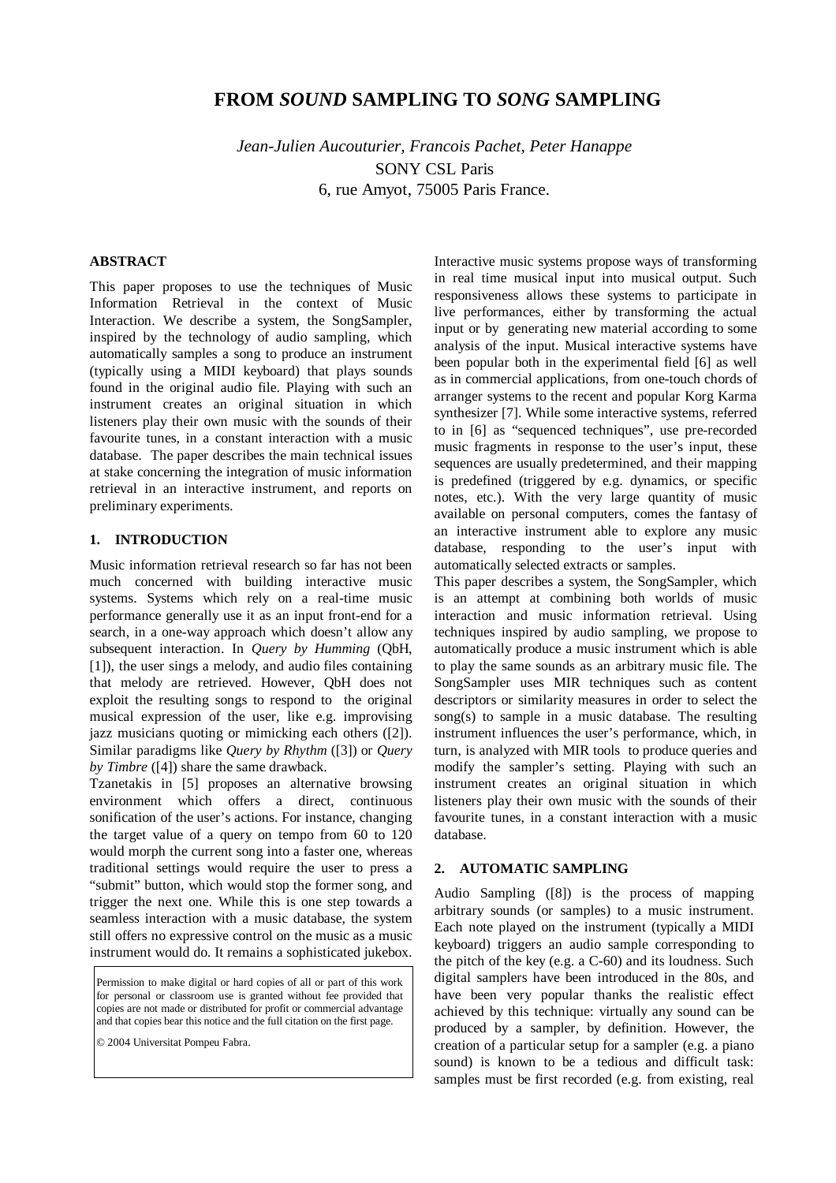# **FROM** *SOUND* **SAMPLING TO** *SONG* **SAMPLING**

*Jean-Julien Aucouturier, Francois Pachet, Peter Hanappe*  SONY CSL Paris 6, rue Amyot, 75005 Paris France.

## **ABSTRACT**

This paper proposes to use the techniques of Music Information Retrieval in the context of Music Interaction. We describe a system, the SongSampler, inspired by the technology of audio sampling, which automatically samples a song to produce an instrument (typically using a MIDI keyboard) that plays sounds found in the original audio file. Playing with such an instrument creates an original situation in which listeners play their own music with the sounds of their favourite tunes, in a constant interaction with a music database. The paper describes the main technical issues at stake concerning the integration of music information retrieval in an interactive instrument, and reports on preliminary experiments.

### **1. INTRODUCTION**

Music information retrieval research so far has not been much concerned with building interactive music systems. Systems which rely on a real-time music performance generally use it as an input front-end for a search, in a one-way approach which doesn't allow any subsequent interaction. In *Query by Humming* (QbH, [1]), the user sings a melody, and audio files containing that melody are retrieved. However, QbH does not exploit the resulting songs to respond to the original musical expression of the user, like e.g. improvising jazz musicians quoting or mimicking each others ([2]). Similar paradigms like *Query by Rhythm* ([3]) or *Query by Timbre* ([4]) share the same drawback.

Tzanetakis in [5] proposes an alternative browsing environment which offers a direct, continuous sonification of the user's actions. For instance, changing the target value of a query on tempo from 60 to 120 would morph the current song into a faster one, whereas traditional settings would require the user to press a "submit" button, which would stop the former song, and trigger the next one. While this is one step towards a seamless interaction with a music database, the system still offers no expressive control on the music as a music instrument would do. It remains a sophisticated jukebox.

Permission to make digital or hard copies of all or part of this work for personal or classroom use is granted without fee provided that copies are not made or distributed for profit or commercial advantage and that copies bear this notice and the full citation on the first page.

© 2004 Universitat Pompeu Fabra.

Interactive music systems propose ways of transforming in real time musical input into musical output. Such responsiveness allows these systems to participate in live performances, either by transforming the actual input or by generating new material according to some analysis of the input. Musical interactive systems have been popular both in the experimental field [6] as well as in commercial applications, from one-touch chords of arranger systems to the recent and popular Korg Karma synthesizer [7]. While some interactive systems, referred to in [6] as "sequenced techniques", use pre-recorded music fragments in response to the user's input, these sequences are usually predetermined, and their mapping is predefined (triggered by e.g. dynamics, or specific notes, etc.). With the very large quantity of music available on personal computers, comes the fantasy of an interactive instrument able to explore any music database, responding to the user's input with automatically selected extracts or samples.

This paper describes a system, the SongSampler, which is an attempt at combining both worlds of music interaction and music information retrieval. Using techniques inspired by audio sampling, we propose to automatically produce a music instrument which is able to play the same sounds as an arbitrary music file. The SongSampler uses MIR techniques such as content descriptors or similarity measures in order to select the song(s) to sample in a music database. The resulting instrument influences the user's performance, which, in turn, is analyzed with MIR tools to produce queries and modify the sampler's setting. Playing with such an instrument creates an original situation in which listeners play their own music with the sounds of their favourite tunes, in a constant interaction with a music database.

## **2. AUTOMATIC SAMPLING**

Audio Sampling ([8]) is the process of mapping arbitrary sounds (or samples) to a music instrument. Each note played on the instrument (typically a MIDI keyboard) triggers an audio sample corresponding to the pitch of the key (e.g. a C-60) and its loudness. Such digital samplers have been introduced in the 80s, and have been very popular thanks the realistic effect achieved by this technique: virtually any sound can be produced by a sampler, by definition. However, the creation of a particular setup for a sampler (e.g. a piano sound) is known to be a tedious and difficult task: samples must be first recorded (e.g. from existing, real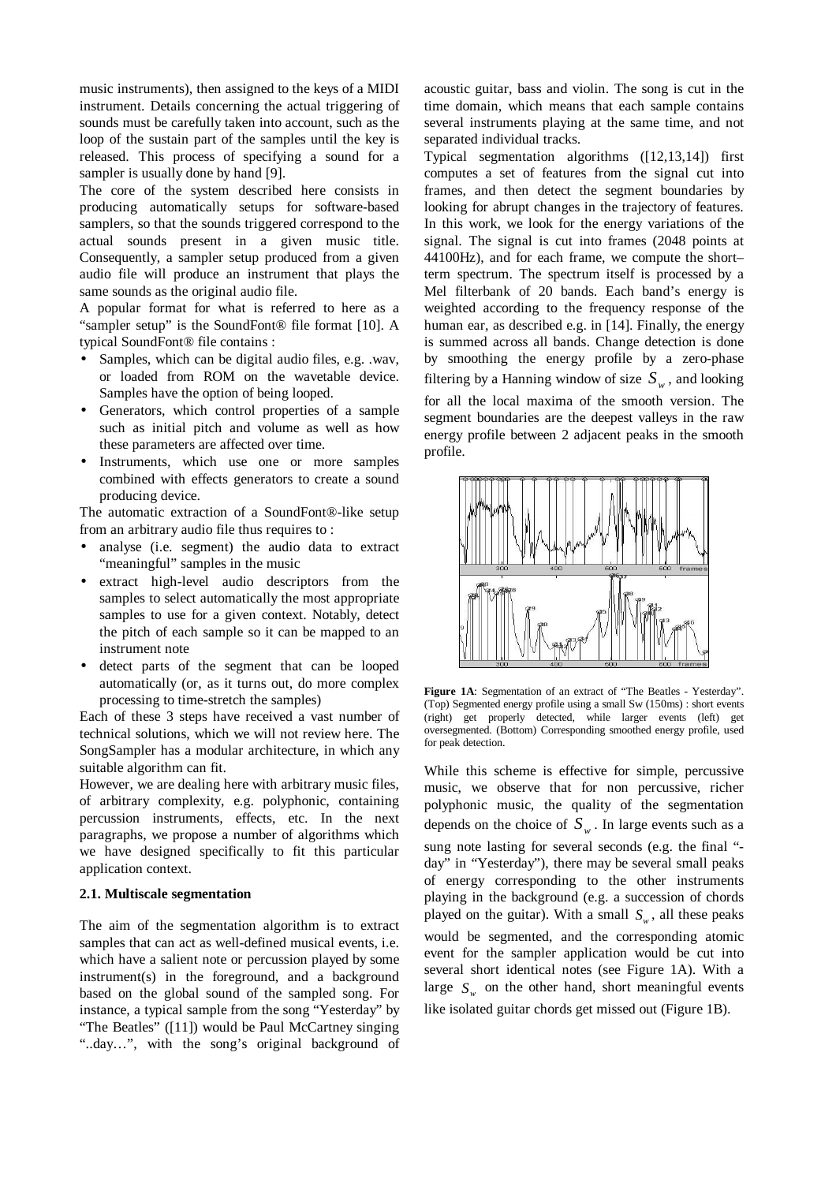music instruments), then assigned to the keys of a MIDI instrument. Details concerning the actual triggering of sounds must be carefully taken into account, such as the loop of the sustain part of the samples until the key is released. This process of specifying a sound for a sampler is usually done by hand [9].

The core of the system described here consists in producing automatically setups for software-based samplers, so that the sounds triggered correspond to the actual sounds present in a given music title. Consequently, a sampler setup produced from a given audio file will produce an instrument that plays the same sounds as the original audio file.

A popular format for what is referred to here as a "sampler setup" is the SoundFont® file format [10]. A typical SoundFont® file contains :

- Samples, which can be digital audio files, e.g. .wav, or loaded from ROM on the wavetable device. Samples have the option of being looped.
- Generators, which control properties of a sample such as initial pitch and volume as well as how these parameters are affected over time.
- Instruments, which use one or more samples combined with effects generators to create a sound producing device.

The automatic extraction of a SoundFont®-like setup from an arbitrary audio file thus requires to :

- analyse (i.e. segment) the audio data to extract "meaningful" samples in the music
- extract high-level audio descriptors from the samples to select automatically the most appropriate samples to use for a given context. Notably, detect the pitch of each sample so it can be mapped to an instrument note
- detect parts of the segment that can be looped automatically (or, as it turns out, do more complex processing to time-stretch the samples)

Each of these 3 steps have received a vast number of technical solutions, which we will not review here. The SongSampler has a modular architecture, in which any suitable algorithm can fit.

However, we are dealing here with arbitrary music files, of arbitrary complexity, e.g. polyphonic, containing percussion instruments, effects, etc. In the next paragraphs, we propose a number of algorithms which we have designed specifically to fit this particular application context.

### **2.1. Multiscale segmentation**

The aim of the segmentation algorithm is to extract samples that can act as well-defined musical events, i.e. which have a salient note or percussion played by some instrument(s) in the foreground, and a background based on the global sound of the sampled song. For instance, a typical sample from the song "Yesterday" by "The Beatles" ([11]) would be Paul McCartney singing "..day…", with the song's original background of acoustic guitar, bass and violin. The song is cut in the time domain, which means that each sample contains several instruments playing at the same time, and not separated individual tracks.

Typical segmentation algorithms ([12,13,14]) first computes a set of features from the signal cut into frames, and then detect the segment boundaries by looking for abrupt changes in the trajectory of features. In this work, we look for the energy variations of the signal. The signal is cut into frames (2048 points at 44100Hz), and for each frame, we compute the short– term spectrum. The spectrum itself is processed by a Mel filterbank of 20 bands. Each band's energy is weighted according to the frequency response of the human ear, as described e.g. in [14]. Finally, the energy is summed across all bands. Change detection is done by smoothing the energy profile by a zero-phase filtering by a Hanning window of size  $S_w$ , and looking for all the local maxima of the smooth version. The segment boundaries are the deepest valleys in the raw energy profile between 2 adjacent peaks in the smooth profile.



**Figure 1A**: Segmentation of an extract of "The Beatles - Yesterday". (Top) Segmented energy profile using a small Sw (150ms) : short events (right) get properly detected, while larger events (left) get oversegmented. (Bottom) Corresponding smoothed energy profile, used for peak detection.

While this scheme is effective for simple, percussive music, we observe that for non percussive, richer polyphonic music, the quality of the segmentation depends on the choice of  $S_w$ . In large events such as a sung note lasting for several seconds (e.g. the final " day" in "Yesterday"), there may be several small peaks of energy corresponding to the other instruments playing in the background (e.g. a succession of chords played on the guitar). With a small  $S_w$ , all these peaks would be segmented, and the corresponding atomic event for the sampler application would be cut into several short identical notes (see Figure 1A). With a large  $S_w$  on the other hand, short meaningful events like isolated guitar chords get missed out (Figure 1B).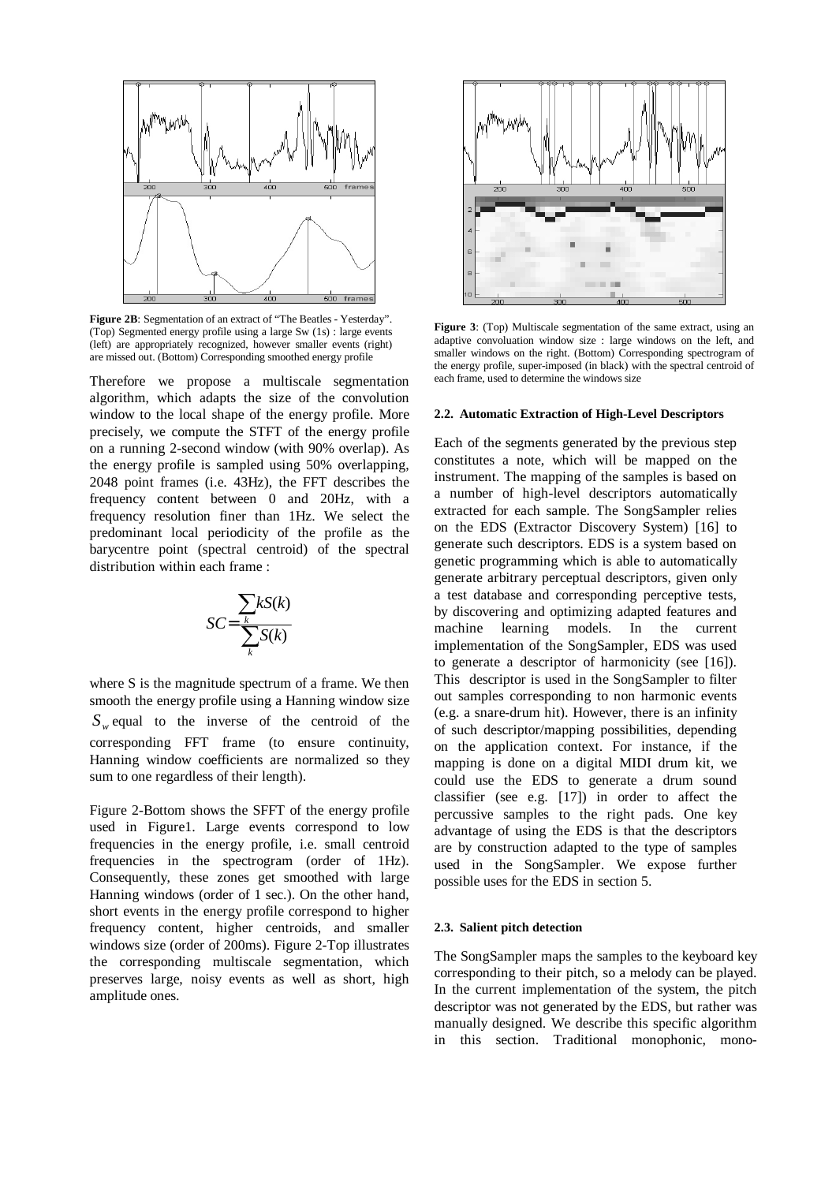

**Figure 2B**: Segmentation of an extract of "The Beatles - Yesterday". (Top) Segmented energy profile using a large Sw (1s) : large events (left) are appropriately recognized, however smaller events (right) are missed out. (Bottom) Corresponding smoothed energy profile

Therefore we propose a multiscale segmentation algorithm, which adapts the size of the convolution window to the local shape of the energy profile. More precisely, we compute the STFT of the energy profile on a running 2-second window (with 90% overlap). As the energy profile is sampled using 50% overlapping, 2048 point frames (i.e. 43Hz), the FFT describes the frequency content between 0 and 20Hz, with a frequency resolution finer than 1Hz. We select the predominant local periodicity of the profile as the barycentre point (spectral centroid) of the spectral distribution within each frame :

$$
SC = \frac{\sum_{k} kS(k)}{\sum_{k} S(k)}
$$

where S is the magnitude spectrum of a frame. We then smooth the energy profile using a Hanning window size  $S_w$  equal to the inverse of the centroid of the corresponding FFT frame (to ensure continuity, Hanning window coefficients are normalized so they sum to one regardless of their length).

Figure 2-Bottom shows the SFFT of the energy profile used in Figure1. Large events correspond to low frequencies in the energy profile, i.e. small centroid frequencies in the spectrogram (order of 1Hz). Consequently, these zones get smoothed with large Hanning windows (order of 1 sec.). On the other hand, short events in the energy profile correspond to higher frequency content, higher centroids, and smaller windows size (order of 200ms). Figure 2-Top illustrates the corresponding multiscale segmentation, which preserves large, noisy events as well as short, high amplitude ones.



**Figure 3**: (Top) Multiscale segmentation of the same extract, using an adaptive convoluation window size : large windows on the left, and smaller windows on the right. (Bottom) Corresponding spectrogram of the energy profile, super-imposed (in black) with the spectral centroid of each frame, used to determine the windows size

#### **2.2. Automatic Extraction of High-Level Descriptors**

Each of the segments generated by the previous step constitutes a note, which will be mapped on the instrument. The mapping of the samples is based on a number of high-level descriptors automatically extracted for each sample. The SongSampler relies on the EDS (Extractor Discovery System) [16] to generate such descriptors. EDS is a system based on genetic programming which is able to automatically generate arbitrary perceptual descriptors, given only a test database and corresponding perceptive tests, by discovering and optimizing adapted features and machine learning models. In the current implementation of the SongSampler, EDS was used to generate a descriptor of harmonicity (see [16]). This descriptor is used in the SongSampler to filter out samples corresponding to non harmonic events (e.g. a snare-drum hit). However, there is an infinity of such descriptor/mapping possibilities, depending on the application context. For instance, if the mapping is done on a digital MIDI drum kit, we could use the EDS to generate a drum sound classifier (see e.g. [17]) in order to affect the percussive samples to the right pads. One key advantage of using the EDS is that the descriptors are by construction adapted to the type of samples used in the SongSampler. We expose further possible uses for the EDS in section 5.

### **2.3. Salient pitch detection**

The SongSampler maps the samples to the keyboard key corresponding to their pitch, so a melody can be played. In the current implementation of the system, the pitch descriptor was not generated by the EDS, but rather was manually designed. We describe this specific algorithm in this section. Traditional monophonic, mono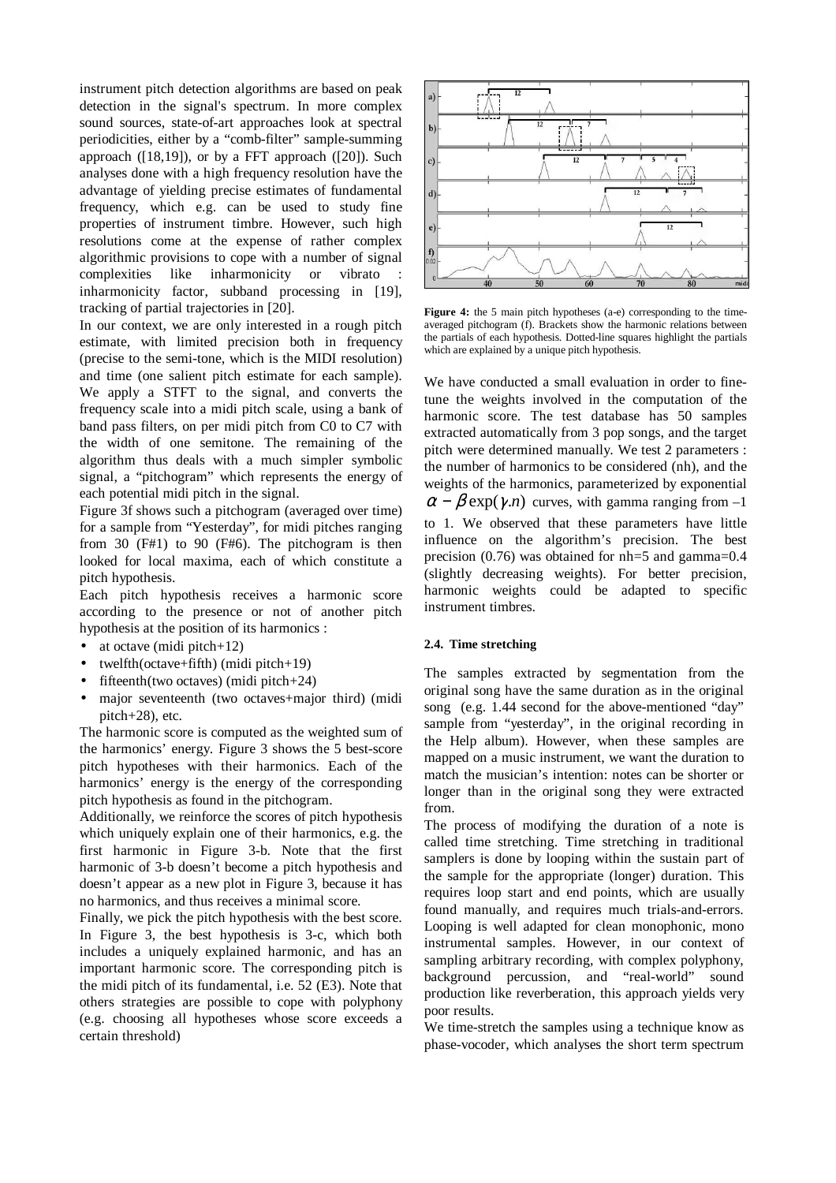instrument pitch detection algorithms are based on peak detection in the signal's spectrum. In more complex sound sources, state-of-art approaches look at spectral periodicities, either by a "comb-filter" sample-summing approach ([18,19]), or by a FFT approach ([20]). Such analyses done with a high frequency resolution have the advantage of yielding precise estimates of fundamental frequency, which e.g. can be used to study fine properties of instrument timbre. However, such high resolutions come at the expense of rather complex algorithmic provisions to cope with a number of signal complexities like inharmonicity or vibrato : inharmonicity factor, subband processing in [19], tracking of partial trajectories in [20].

In our context, we are only interested in a rough pitch estimate, with limited precision both in frequency (precise to the semi-tone, which is the MIDI resolution) and time (one salient pitch estimate for each sample). We apply a STFT to the signal, and converts the frequency scale into a midi pitch scale, using a bank of band pass filters, on per midi pitch from C0 to C7 with the width of one semitone. The remaining of the algorithm thus deals with a much simpler symbolic signal, a "pitchogram" which represents the energy of each potential midi pitch in the signal.

Figure 3f shows such a pitchogram (averaged over time) for a sample from "Yesterday", for midi pitches ranging from 30 (F#1) to 90 (F#6). The pitchogram is then looked for local maxima, each of which constitute a pitch hypothesis.

Each pitch hypothesis receives a harmonic score according to the presence or not of another pitch hypothesis at the position of its harmonics :

- at octave (midi pitch+12)
- twelfth(octave+fifth) (midi pitch+19)
- fifteenth(two octaves) (midi pitch $+24$ )
- major seventeenth (two octaves+major third) (midi pitch+28), etc.

The harmonic score is computed as the weighted sum of the harmonics' energy. Figure 3 shows the 5 best-score pitch hypotheses with their harmonics. Each of the harmonics' energy is the energy of the corresponding pitch hypothesis as found in the pitchogram.

Additionally, we reinforce the scores of pitch hypothesis which uniquely explain one of their harmonics, e.g. the first harmonic in Figure 3-b. Note that the first harmonic of 3-b doesn't become a pitch hypothesis and doesn't appear as a new plot in Figure 3, because it has no harmonics, and thus receives a minimal score.

Finally, we pick the pitch hypothesis with the best score. In Figure 3, the best hypothesis is 3-c, which both includes a uniquely explained harmonic, and has an important harmonic score. The corresponding pitch is the midi pitch of its fundamental, i.e. 52 (E3). Note that others strategies are possible to cope with polyphony (e.g. choosing all hypotheses whose score exceeds a certain threshold)



**Figure 4:** the 5 main pitch hypotheses (a-e) corresponding to the timeaveraged pitchogram (f). Brackets show the harmonic relations between the partials of each hypothesis. Dotted-line squares highlight the partials which are explained by a unique pitch hypothesis.

We have conducted a small evaluation in order to finetune the weights involved in the computation of the harmonic score. The test database has 50 samples extracted automatically from 3 pop songs, and the target pitch were determined manually. We test 2 parameters : the number of harmonics to be considered (nh), and the weights of the harmonics, parameterized by exponential  $\alpha - \beta$  exp( $\gamma$ ,*n*) curves, with gamma ranging from -1 to 1. We observed that these parameters have little influence on the algorithm's precision. The best precision (0.76) was obtained for nh=5 and gamma=0.4 (slightly decreasing weights). For better precision, harmonic weights could be adapted to specific instrument timbres.

### **2.4. Time stretching**

The samples extracted by segmentation from the original song have the same duration as in the original song (e.g. 1.44 second for the above-mentioned "day" sample from "yesterday", in the original recording in the Help album). However, when these samples are mapped on a music instrument, we want the duration to match the musician's intention: notes can be shorter or longer than in the original song they were extracted from.

The process of modifying the duration of a note is called time stretching. Time stretching in traditional samplers is done by looping within the sustain part of the sample for the appropriate (longer) duration. This requires loop start and end points, which are usually found manually, and requires much trials-and-errors. Looping is well adapted for clean monophonic, mono instrumental samples. However, in our context of sampling arbitrary recording, with complex polyphony, background percussion, and "real-world" sound production like reverberation, this approach yields very poor results.

We time-stretch the samples using a technique know as phase-vocoder, which analyses the short term spectrum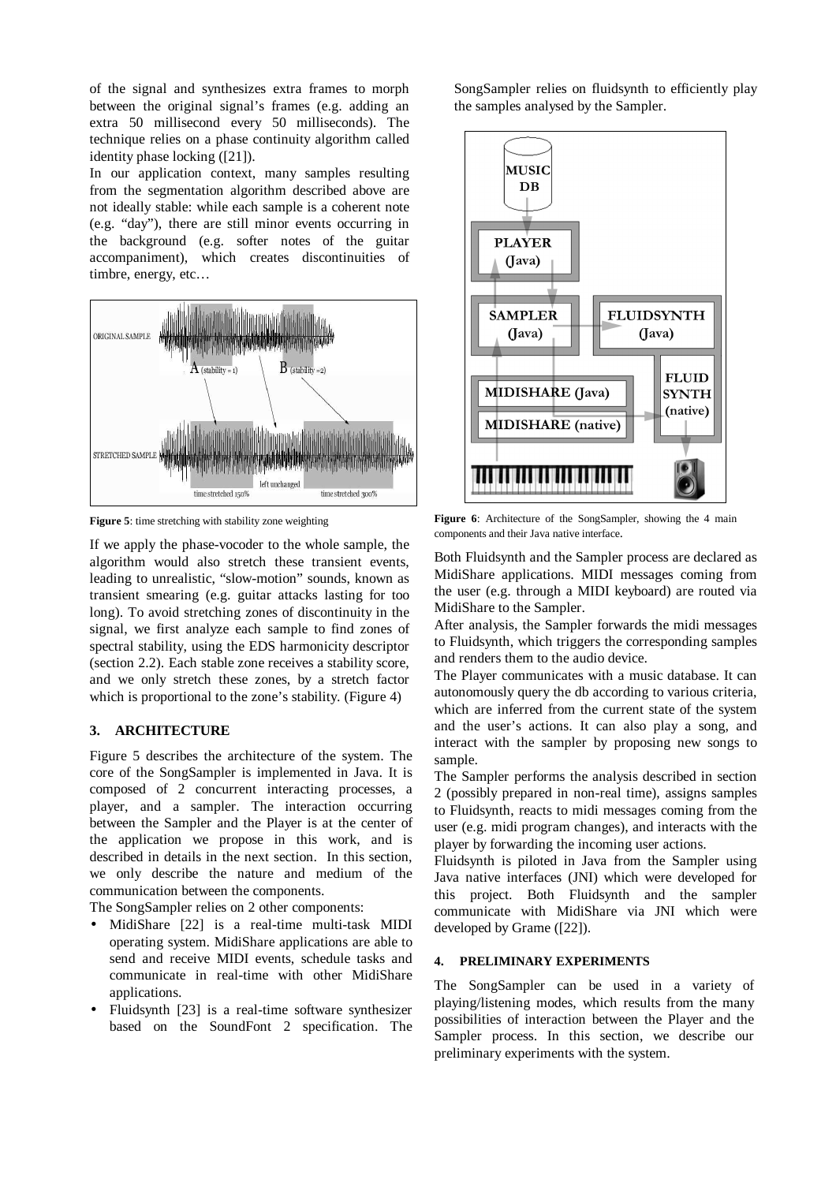of the signal and synthesizes extra frames to morph between the original signal's frames (e.g. adding an extra 50 millisecond every 50 milliseconds). The technique relies on a phase continuity algorithm called identity phase locking ([21]).

In our application context, many samples resulting from the segmentation algorithm described above are not ideally stable: while each sample is a coherent note (e.g. "day"), there are still minor events occurring in the background (e.g. softer notes of the guitar accompaniment), which creates discontinuities of timbre, energy, etc…



**Figure 5**: time stretching with stability zone weighting

If we apply the phase-vocoder to the whole sample, the algorithm would also stretch these transient events, leading to unrealistic, "slow-motion" sounds, known as transient smearing (e.g. guitar attacks lasting for too long). To avoid stretching zones of discontinuity in the signal, we first analyze each sample to find zones of spectral stability, using the EDS harmonicity descriptor (section 2.2). Each stable zone receives a stability score, and we only stretch these zones, by a stretch factor which is proportional to the zone's stability. (Figure 4)

## **3. ARCHITECTURE**

Figure 5 describes the architecture of the system. The core of the SongSampler is implemented in Java. It is composed of 2 concurrent interacting processes, a player, and a sampler. The interaction occurring between the Sampler and the Player is at the center of the application we propose in this work, and is described in details in the next section. In this section, we only describe the nature and medium of the communication between the components.

The SongSampler relies on 2 other components:

- MidiShare [22] is a real-time multi-task MIDI operating system. MidiShare applications are able to send and receive MIDI events, schedule tasks and communicate in real-time with other MidiShare applications.
- Fluidsynth [23] is a real-time software synthesizer based on the SoundFont 2 specification. The

SongSampler relies on fluidsynth to efficiently play the samples analysed by the Sampler.



**Figure 6**: Architecture of the SongSampler, showing the 4 main components and their Java native interface.

Both Fluidsynth and the Sampler process are declared as MidiShare applications. MIDI messages coming from the user (e.g. through a MIDI keyboard) are routed via MidiShare to the Sampler.

After analysis, the Sampler forwards the midi messages to Fluidsynth, which triggers the corresponding samples and renders them to the audio device.

The Player communicates with a music database. It can autonomously query the db according to various criteria, which are inferred from the current state of the system and the user's actions. It can also play a song, and interact with the sampler by proposing new songs to sample.

The Sampler performs the analysis described in section 2 (possibly prepared in non-real time), assigns samples to Fluidsynth, reacts to midi messages coming from the user (e.g. midi program changes), and interacts with the player by forwarding the incoming user actions.

Fluidsynth is piloted in Java from the Sampler using Java native interfaces (JNI) which were developed for this project. Both Fluidsynth and the sampler communicate with MidiShare via JNI which were developed by Grame ([22]).

## **4. PRELIMINARY EXPERIMENTS**

The SongSampler can be used in a variety of playing/listening modes, which results from the many possibilities of interaction between the Player and the Sampler process. In this section, we describe our preliminary experiments with the system.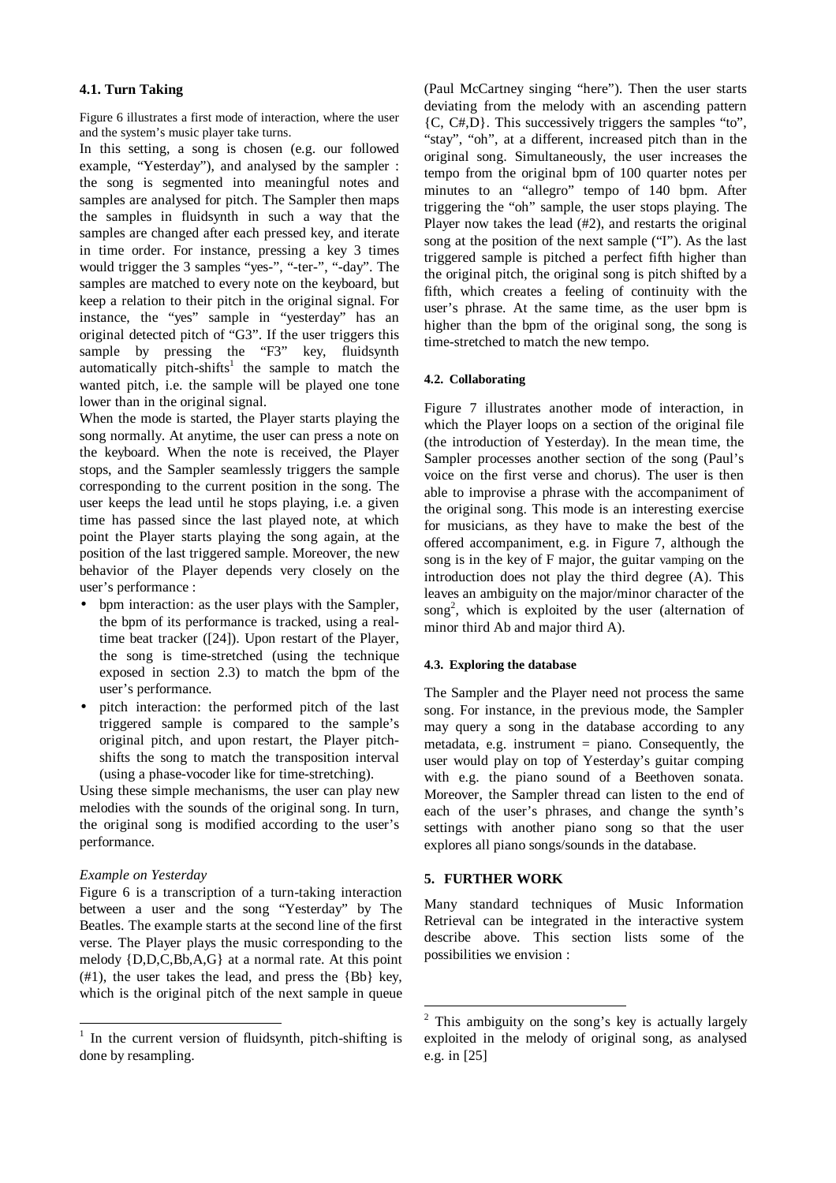### **4.1. Turn Taking**

Figure 6 illustrates a first mode of interaction, where the user and the system's music player take turns.

In this setting, a song is chosen (e.g. our followed example, "Yesterday"), and analysed by the sampler : the song is segmented into meaningful notes and samples are analysed for pitch. The Sampler then maps the samples in fluidsynth in such a way that the samples are changed after each pressed key, and iterate in time order. For instance, pressing a key 3 times would trigger the 3 samples "yes-", "-ter-", "-day". The samples are matched to every note on the keyboard, but keep a relation to their pitch in the original signal. For instance, the "yes" sample in "yesterday" has an original detected pitch of "G3". If the user triggers this sample by pressing the "F3" key, fluidsynth automatically pitch-shifts<sup>1</sup> the sample to match the wanted pitch, i.e. the sample will be played one tone lower than in the original signal.

When the mode is started, the Player starts playing the song normally. At anytime, the user can press a note on the keyboard. When the note is received, the Player stops, and the Sampler seamlessly triggers the sample corresponding to the current position in the song. The user keeps the lead until he stops playing, i.e. a given time has passed since the last played note, at which point the Player starts playing the song again, at the position of the last triggered sample. Moreover, the new behavior of the Player depends very closely on the user's performance :

- bpm interaction: as the user plays with the Sampler, the bpm of its performance is tracked, using a realtime beat tracker ([24]). Upon restart of the Player, the song is time-stretched (using the technique exposed in section 2.3) to match the bpm of the user's performance.
- pitch interaction: the performed pitch of the last triggered sample is compared to the sample's original pitch, and upon restart, the Player pitchshifts the song to match the transposition interval (using a phase-vocoder like for time-stretching).

Using these simple mechanisms, the user can play new melodies with the sounds of the original song. In turn, the original song is modified according to the user's performance.

### *Example on Yesterday*

 $\overline{a}$ 

Figure 6 is a transcription of a turn-taking interaction between a user and the song "Yesterday" by The Beatles. The example starts at the second line of the first verse. The Player plays the music corresponding to the melody {D,D,C,Bb,A,G} at a normal rate. At this point (#1), the user takes the lead, and press the {Bb} key, which is the original pitch of the next sample in queue (Paul McCartney singing "here"). Then the user starts deviating from the melody with an ascending pattern {C, C#,D}. This successively triggers the samples "to", "stay", "oh", at a different, increased pitch than in the original song. Simultaneously, the user increases the tempo from the original bpm of 100 quarter notes per minutes to an "allegro" tempo of 140 bpm. After triggering the "oh" sample, the user stops playing. The Player now takes the lead (#2), and restarts the original song at the position of the next sample ("I"). As the last triggered sample is pitched a perfect fifth higher than the original pitch, the original song is pitch shifted by a fifth, which creates a feeling of continuity with the user's phrase. At the same time, as the user bpm is higher than the bpm of the original song, the song is time-stretched to match the new tempo.

#### **4.2. Collaborating**

Figure 7 illustrates another mode of interaction, in which the Player loops on a section of the original file (the introduction of Yesterday). In the mean time, the Sampler processes another section of the song (Paul's voice on the first verse and chorus). The user is then able to improvise a phrase with the accompaniment of the original song. This mode is an interesting exercise for musicians, as they have to make the best of the offered accompaniment, e.g. in Figure 7, although the song is in the key of F major, the guitar vamping on the introduction does not play the third degree (A). This leaves an ambiguity on the major/minor character of the song<sup>2</sup>, which is exploited by the user (alternation of minor third Ab and major third A).

#### **4.3. Exploring the database**

The Sampler and the Player need not process the same song. For instance, in the previous mode, the Sampler may query a song in the database according to any metadata, e.g. instrument = piano. Consequently, the user would play on top of Yesterday's guitar comping with e.g. the piano sound of a Beethoven sonata. Moreover, the Sampler thread can listen to the end of each of the user's phrases, and change the synth's settings with another piano song so that the user explores all piano songs/sounds in the database.

### **5. FURTHER WORK**

-

Many standard techniques of Music Information Retrieval can be integrated in the interactive system describe above. This section lists some of the possibilities we envision :

<sup>&</sup>lt;sup>1</sup> In the current version of fluidsynth, pitch-shifting is done by resampling.

 $2$  This ambiguity on the song's key is actually largely exploited in the melody of original song, as analysed e.g. in [25]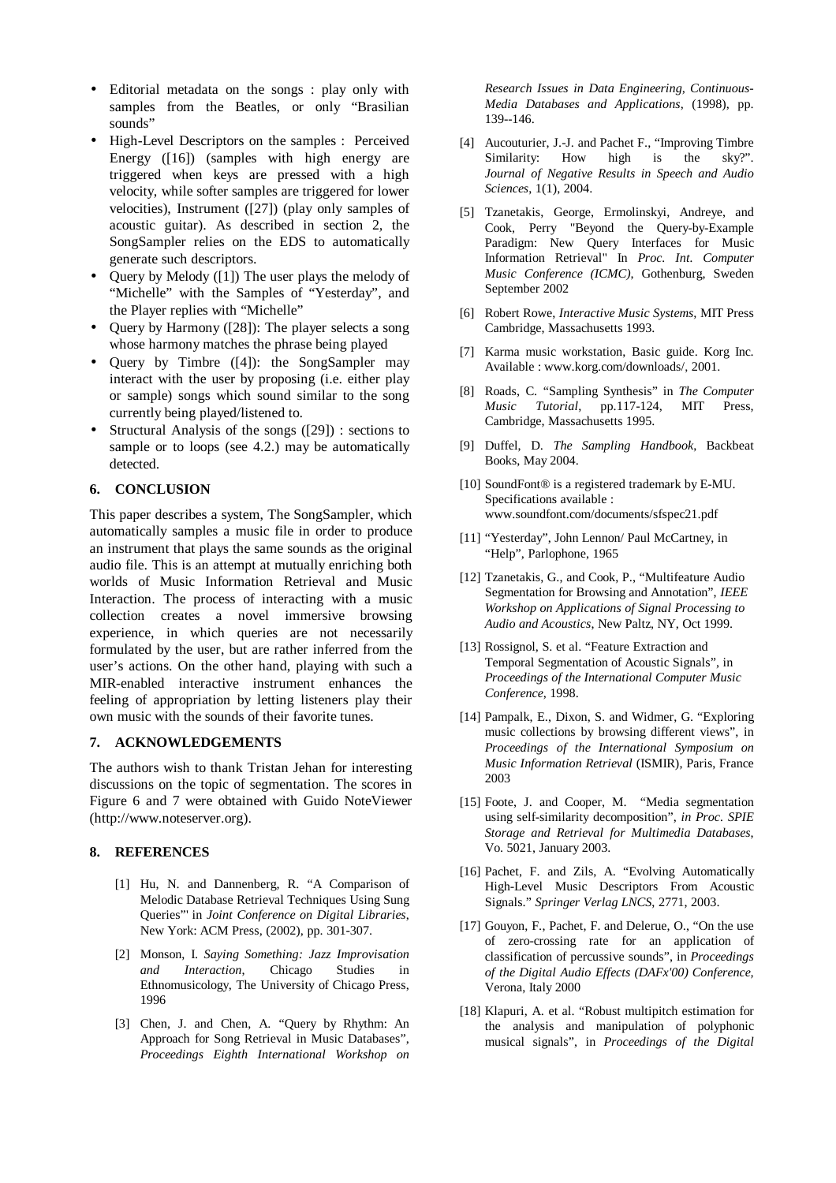- Editorial metadata on the songs : play only with samples from the Beatles, or only "Brasilian sounds"
- High-Level Descriptors on the samples : Perceived Energy ([16]) (samples with high energy are triggered when keys are pressed with a high velocity, while softer samples are triggered for lower velocities), Instrument ([27]) (play only samples of acoustic guitar). As described in section 2, the SongSampler relies on the EDS to automatically generate such descriptors.
- Query by Melody ([1]) The user plays the melody of "Michelle" with the Samples of "Yesterday", and the Player replies with "Michelle"
- Query by Harmony ([28]): The player selects a song whose harmony matches the phrase being played
- Query by Timbre ([4]): the SongSampler may interact with the user by proposing (i.e. either play or sample) songs which sound similar to the song currently being played/listened to.
- Structural Analysis of the songs ([29]) : sections to sample or to loops (see 4.2.) may be automatically detected.

## **6. CONCLUSION**

This paper describes a system, The SongSampler, which automatically samples a music file in order to produce an instrument that plays the same sounds as the original audio file. This is an attempt at mutually enriching both worlds of Music Information Retrieval and Music Interaction. The process of interacting with a music collection creates a novel immersive browsing experience, in which queries are not necessarily formulated by the user, but are rather inferred from the user's actions. On the other hand, playing with such a MIR-enabled interactive instrument enhances the feeling of appropriation by letting listeners play their own music with the sounds of their favorite tunes.

### **7. ACKNOWLEDGEMENTS**

The authors wish to thank Tristan Jehan for interesting discussions on the topic of segmentation. The scores in Figure 6 and 7 were obtained with Guido NoteViewer (http://www.noteserver.org).

## **8. REFERENCES**

- [1] Hu, N. and Dannenberg, R. "A Comparison of Melodic Database Retrieval Techniques Using Sung Queries"' in *Joint Conference on Digital Libraries*, New York: ACM Press, (2002), pp. 301-307.
- [2] Monson, I. *Saying Something: Jazz Improvisation and Interaction*, Chicago Studies in Ethnomusicology, The University of Chicago Press, 1996
- [3] Chen, J. and Chen, A. "Query by Rhythm: An Approach for Song Retrieval in Music Databases", *Proceedings Eighth International Workshop on*

*Research Issues in Data Engineering, Continuous-Media Databases and Applications*, (1998), pp. 139--146.

- [4] Aucouturier, J.-J. and Pachet F., "Improving Timbre Similarity: How high is the sky?". *Journal of Negative Results in Speech and Audio Sciences*, 1(1), 2004.
- [5] Tzanetakis, George, Ermolinskyi, Andreye, and Cook, Perry "Beyond the Query-by-Example Paradigm: New Query Interfaces for Music Information Retrieval" In *Proc. Int. Computer Music Conference (ICMC)*, Gothenburg, Sweden September 2002
- [6] Robert Rowe, *Interactive Music Systems,* MIT Press Cambridge, Massachusetts 1993.
- [7] Karma music workstation, Basic guide. Korg Inc. Available : www.korg.com/downloads/, 2001.
- [8] Roads, C. "Sampling Synthesis" in *The Computer Music Tutorial*, pp.117-124, MIT Press, Cambridge, Massachusetts 1995.
- [9] Duffel, D. *The Sampling Handbook*, Backbeat Books, May 2004.
- [10] SoundFont® is a registered trademark by E-MU. Specifications available : www.soundfont.com/documents/sfspec21.pdf
- [11] "Yesterday", John Lennon/ Paul McCartney, in "Help", Parlophone, 1965
- [12] Tzanetakis, G., and Cook, P., "Multifeature Audio Segmentation for Browsing and Annotation", *IEEE Workshop on Applications of Signal Processing to Audio and Acoustics*, New Paltz, NY, Oct 1999.
- [13] Rossignol, S. et al. "Feature Extraction and Temporal Segmentation of Acoustic Signals", in *Proceedings of the International Computer Music Conference*, 1998.
- [14] Pampalk, E., Dixon, S. and Widmer, G. "Exploring music collections by browsing different views", in *Proceedings of the International Symposium on Music Information Retrieval* (ISMIR), Paris, France 2003
- [15] Foote, J. and Cooper, M. "Media segmentation using self-similarity decomposition", *in Proc. SPIE Storage and Retrieval for Multimedia Databases*, Vo. 5021, January 2003.
- [16] Pachet, F. and Zils, A. "Evolving Automatically High-Level Music Descriptors From Acoustic Signals." *Springer Verlag LNCS*, 2771, 2003.
- [17] Gouyon, F., Pachet, F. and Delerue, O., "On the use of zero-crossing rate for an application of classification of percussive sounds", in *Proceedings of the Digital Audio Effects (DAFx'00) Conference,* Verona, Italy 2000
- [18] Klapuri, A. et al. "Robust multipitch estimation for the analysis and manipulation of polyphonic musical signals", in *Proceedings of the Digital*